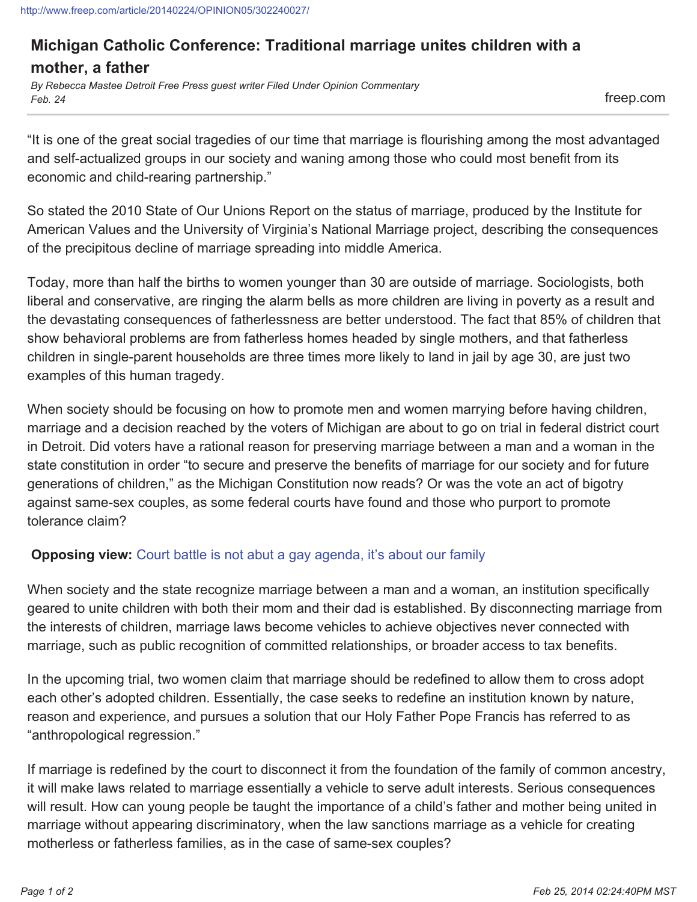http://www.freep.com/article/20140224/OPINION05/302240027/

## **Michigan Catholic Conference: Traditional marriage unites children with a mother, a father**

*By Rebecca Mastee Detroit Free Press guest writer Filed Under Opinion Commentary Feb. 24* freep.com

"It is one of the great social tragedies of our time that marriage is flourishing among the most advantaged and self-actualized groups in our society and waning among those who could most benefit from its economic and child-rearing partnership."

So stated the 2010 State of Our Unions Report on the status of marriage, produced by the Institute for American Values and the University of Virginia's National Marriage project, describing the consequences of the precipitous decline of marriage spreading into middle America.

Today, more than half the births to women younger than 30 are outside of marriage. Sociologists, both liberal and conservative, are ringing the alarm bells as more children are living in poverty as a result and the devastating consequences of fatherlessness are better understood. The fact that 85% of children that show behavioral problems are from fatherless homes headed by single mothers, and that fatherless children in single-parent households are three times more likely to land in jail by age 30, are just two examples of this human tragedy.

When society should be focusing on how to promote men and women marrying before having children, marriage and a decision reached by the voters of Michigan are about to go on trial in federal district court in Detroit. Did voters have a rational reason for preserving marriage between a man and a woman in the state constitution in order "to secure and preserve the benefits of marriage for our society and for future generations of children," as the Michigan Constitution now reads? Or was the vote an act of bigotry against same-sex couples, as some federal courts have found and those who purport to promote tolerance claim?

## **Opposing view:** Court battle is not abut a gay agenda, it's about our family

When society and the state recognize marriage between a man and a woman, an institution specifically geared to unite children with both their mom and their dad is established. By disconnecting marriage from the interests of children, marriage laws become vehicles to achieve objectives never connected with marriage, such as public recognition of committed relationships, or broader access to tax benefits.

In the upcoming trial, two women claim that marriage should be redefined to allow them to cross adopt each other's adopted children. Essentially, the case seeks to redefine an institution known by nature, reason and experience, and pursues a solution that our Holy Father Pope Francis has referred to as "anthropological regression."

If marriage is redefined by the court to disconnect it from the foundation of the family of common ancestry, it will make laws related to marriage essentially a vehicle to serve adult interests. Serious consequences will result. How can young people be taught the importance of a child's father and mother being united in marriage without appearing discriminatory, when the law sanctions marriage as a vehicle for creating motherless or fatherless families, as in the case of same-sex couples?